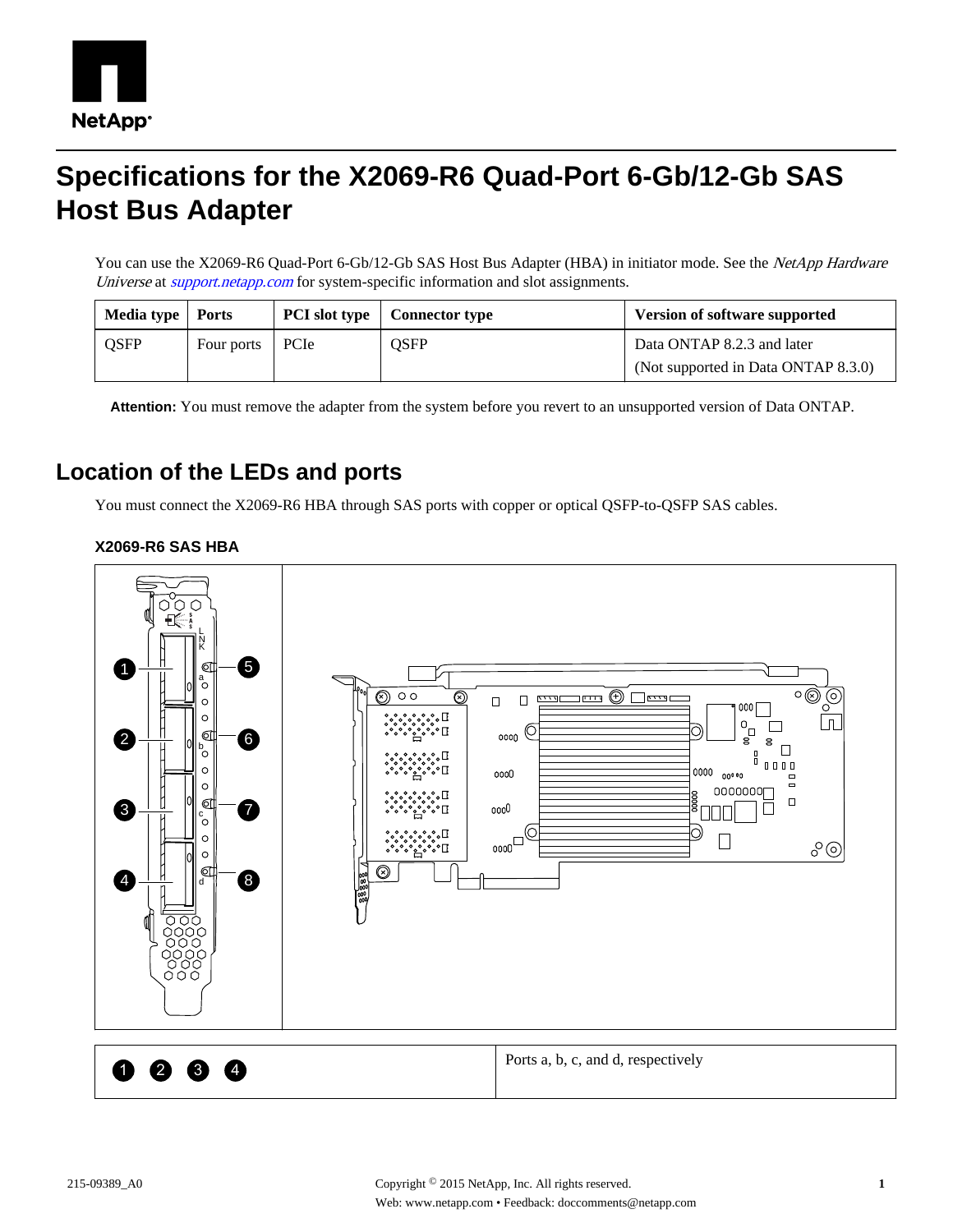

## **Specifications for the X2069-R6 Quad-Port 6-Gb/12-Gb SAS Host Bus Adapter**

You can use the X2069-R6 Quad-Port 6-Gb/12-Gb SAS Host Bus Adapter (HBA) in initiator mode. See the NetApp Hardware Universe at *[support.netapp.com](http://support.netapp.com/)* for system-specific information and slot assignments.

| Media type   Ports |                   | <b>PCI</b> slot type | Connector type | <b>Version of software supported</b> |
|--------------------|-------------------|----------------------|----------------|--------------------------------------|
| <b>QSFP</b>        | Four ports   PCIe |                      | QSFP           | Data ONTAP 8.2.3 and later           |
|                    |                   |                      |                | (Not supported in Data ONTAP 8.3.0)  |

**Attention:** You must remove the adapter from the system before you revert to an unsupported version of Data ONTAP.

## **Location of the LEDs and ports**

You must connect the X2069-R6 HBA through SAS ports with copper or optical QSFP-to-QSFP SAS cables.